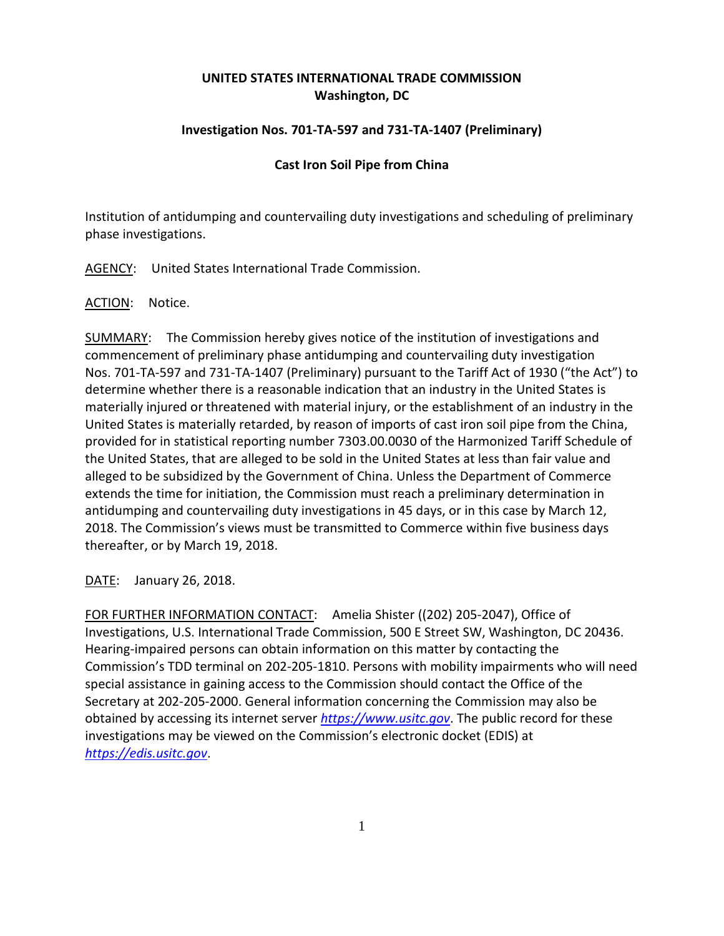## **UNITED STATES INTERNATIONAL TRADE COMMISSION Washington, DC**

## **Investigation Nos. 701-TA-597 and 731-TA-1407 (Preliminary)**

## **Cast Iron Soil Pipe from China**

Institution of antidumping and countervailing duty investigations and scheduling of preliminary phase investigations.

AGENCY: United States International Trade Commission.

ACTION: Notice.

SUMMARY: The Commission hereby gives notice of the institution of investigations and commencement of preliminary phase antidumping and countervailing duty investigation Nos. 701-TA-597 and 731-TA-1407 (Preliminary) pursuant to the Tariff Act of 1930 ("the Act") to determine whether there is a reasonable indication that an industry in the United States is materially injured or threatened with material injury, or the establishment of an industry in the United States is materially retarded, by reason of imports of cast iron soil pipe from the China, provided for in statistical reporting number 7303.00.0030 of the Harmonized Tariff Schedule of the United States, that are alleged to be sold in the United States at less than fair value and alleged to be subsidized by the Government of China. Unless the Department of Commerce extends the time for initiation, the Commission must reach a preliminary determination in antidumping and countervailing duty investigations in 45 days, or in this case by March 12, 2018. The Commission's views must be transmitted to Commerce within five business days thereafter, or by March 19, 2018.

DATE: January 26, 2018.

FOR FURTHER INFORMATION CONTACT: Amelia Shister ((202) 205-2047), Office of Investigations, U.S. International Trade Commission, 500 E Street SW, Washington, DC 20436. Hearing-impaired persons can obtain information on this matter by contacting the Commission's TDD terminal on 202-205-1810. Persons with mobility impairments who will need special assistance in gaining access to the Commission should contact the Office of the Secretary at 202-205-2000. General information concerning the Commission may also be obtained by accessing its internet server *[https://www.usitc.gov](https://www.usitc.gov/)*. The public record for these investigations may be viewed on the Commission's electronic docket (EDIS) at *[https://edis.usitc.gov](https://edis.usitc.gov/)*.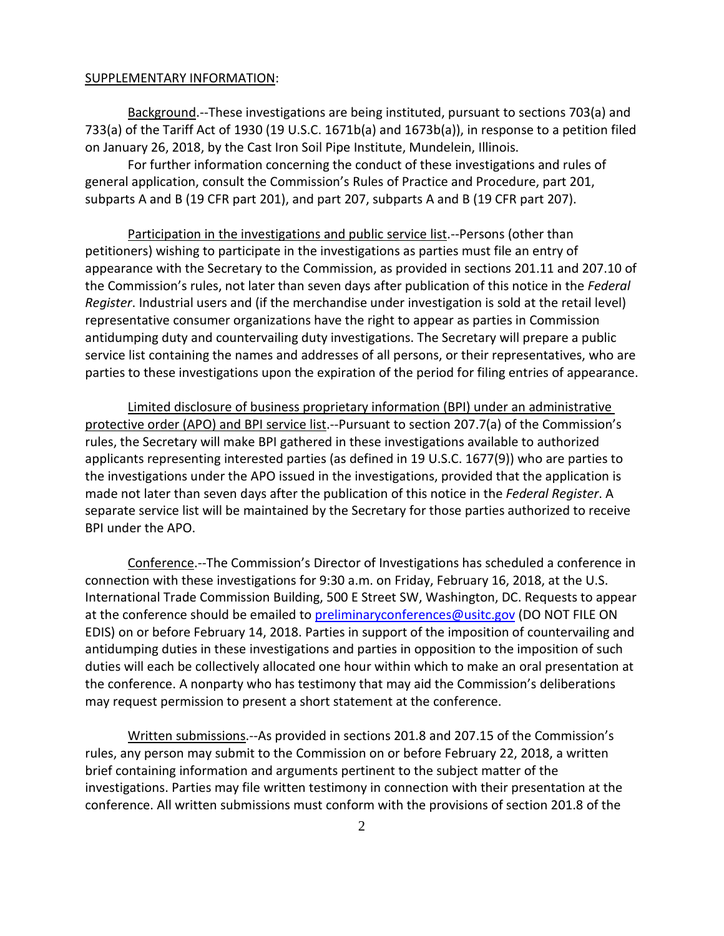## SUPPLEMENTARY INFORMATION:

Background.--These investigations are being instituted, pursuant to sections 703(a) and 733(a) of the Tariff Act of 1930 (19 U.S.C. 1671b(a) and 1673b(a)), in response to a petition filed on January 26, 2018, by the Cast Iron Soil Pipe Institute, Mundelein, Illinois.

For further information concerning the conduct of these investigations and rules of general application, consult the Commission's Rules of Practice and Procedure, part 201, subparts A and B (19 CFR part 201), and part 207, subparts A and B (19 CFR part 207).

Participation in the investigations and public service list.--Persons (other than petitioners) wishing to participate in the investigations as parties must file an entry of appearance with the Secretary to the Commission, as provided in sections 201.11 and 207.10 of the Commission's rules, not later than seven days after publication of this notice in the *Federal Register*. Industrial users and (if the merchandise under investigation is sold at the retail level) representative consumer organizations have the right to appear as parties in Commission antidumping duty and countervailing duty investigations. The Secretary will prepare a public service list containing the names and addresses of all persons, or their representatives, who are parties to these investigations upon the expiration of the period for filing entries of appearance.

Limited disclosure of business proprietary information (BPI) under an administrative protective order (APO) and BPI service list.--Pursuant to section 207.7(a) of the Commission's rules, the Secretary will make BPI gathered in these investigations available to authorized applicants representing interested parties (as defined in 19 U.S.C. 1677(9)) who are parties to the investigations under the APO issued in the investigations, provided that the application is made not later than seven days after the publication of this notice in the *Federal Register*. A separate service list will be maintained by the Secretary for those parties authorized to receive BPI under the APO.

Conference.--The Commission's Director of Investigations has scheduled a conference in connection with these investigations for 9:30 a.m. on Friday, February 16, 2018, at the U.S. International Trade Commission Building, 500 E Street SW, Washington, DC. Requests to appear at the conference should be emailed to [preliminaryconferences@usitc.gov](mailto:preliminaryconferences@usitc.gov) (DO NOT FILE ON EDIS) on or before February 14, 2018. Parties in support of the imposition of countervailing and antidumping duties in these investigations and parties in opposition to the imposition of such duties will each be collectively allocated one hour within which to make an oral presentation at the conference. A nonparty who has testimony that may aid the Commission's deliberations may request permission to present a short statement at the conference.

Written submissions.--As provided in sections 201.8 and 207.15 of the Commission's rules, any person may submit to the Commission on or before February 22, 2018, a written brief containing information and arguments pertinent to the subject matter of the investigations. Parties may file written testimony in connection with their presentation at the conference. All written submissions must conform with the provisions of section 201.8 of the